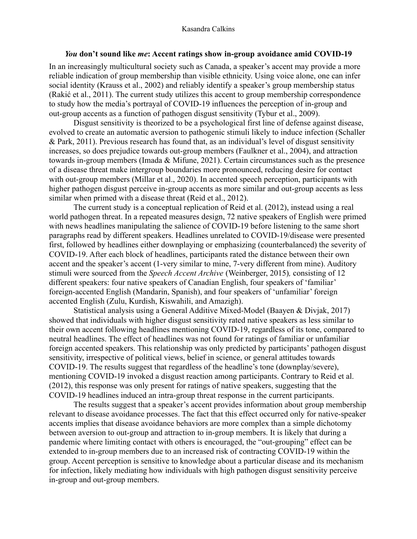## *You* **don't sound like** *me***: Accent ratings show in-group avoidance amid COVID-19**

In an increasingly multicultural society such as Canada, a speaker's accent may provide a more reliable indication of group membership than visible ethnicity. Using voice alone, one can infer social identity (Krauss et al., 2002) and reliably identify a speaker's group membership status (Rakić et al., 2011). The current study utilizes this accent to group membership correspondence to study how the media's portrayal of COVID-19 influences the perception of in-group and out-group accents as a function of pathogen disgust sensitivity (Tybur et al., 2009).

Disgust sensitivity is theorized to be a psychological first line of defense against disease, evolved to create an automatic aversion to pathogenic stimuli likely to induce infection (Schaller & Park, 2011). Previous research has found that, as an individual's level of disgust sensitivity increases, so does prejudice towards out-group members (Faulkner et al., 2004), and attraction towards in-group members (Imada & Mifune, 2021). Certain circumstances such as the presence of a disease threat make intergroup boundaries more pronounced, reducing desire for contact with out-group members (Millar et al., 2020). In accented speech perception, participants with higher pathogen disgust perceive in-group accents as more similar and out-group accents as less similar when primed with a disease threat (Reid et al., 2012).

The current study is a conceptual replication of Reid et al. (2012), instead using a real world pathogen threat. In a repeated measures design, 72 native speakers of English were primed with news headlines manipulating the salience of COVID-19 before listening to the same short paragraphs read by different speakers. Headlines unrelated to COVID-19/disease were presented first, followed by headlines either downplaying or emphasizing (counterbalanced) the severity of COVID-19. After each block of headlines, participants rated the distance between their own accent and the speaker's accent (1-very similar to mine, 7-very different from mine). Auditory stimuli were sourced from the *Speech Accent Archive* (Weinberger, 2015)*,* consisting of 12 different speakers: four native speakers of Canadian English, four speakers of 'familiar' foreign-accented English (Mandarin, Spanish), and four speakers of 'unfamiliar' foreign accented English (Zulu, Kurdish, Kiswahili, and Amazigh).

Statistical analysis using a General Additive Mixed-Model (Baayen & Divjak, 2017) showed that individuals with higher disgust sensitivity rated native speakers as less similar to their own accent following headlines mentioning COVID-19, regardless of its tone, compared to neutral headlines. The effect of headlines was not found for ratings of familiar or unfamiliar foreign accented speakers. This relationship was only predicted by participants' pathogen disgust sensitivity, irrespective of political views, belief in science, or general attitudes towards COVID-19. The results suggest that regardless of the headline's tone (downplay/severe), mentioning COVID-19 invoked a disgust reaction among participants. Contrary to Reid et al. (2012), this response was only present for ratings of native speakers, suggesting that the COVID-19 headlines induced an intra-group threat response in the current participants.

The results suggest that a speaker's accent provides information about group membership relevant to disease avoidance processes. The fact that this effect occurred only for native-speaker accents implies that disease avoidance behaviors are more complex than a simple dichotomy between aversion to out-group and attraction to in-group members. It is likely that during a pandemic where limiting contact with others is encouraged, the "out-grouping" effect can be extended to in-group members due to an increased risk of contracting COVID-19 within the group. Accent perception is sensitive to knowledge about a particular disease and its mechanism for infection, likely mediating how individuals with high pathogen disgust sensitivity perceive in-group and out-group members.